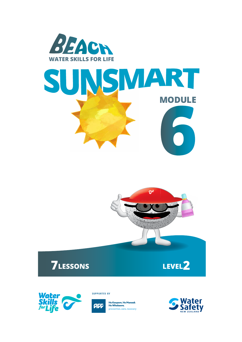



# **7LESSONS LEVEL2**



**SUPPORTED BY** 



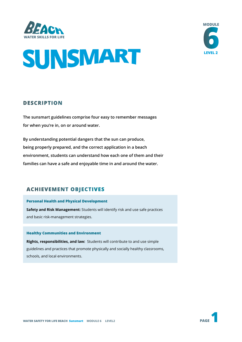





### **DESCRIPTION**

**The sunsmart guidelines comprise four easy to remember messages for when you're in, on or around water.** 

**By understanding potential dangers that the sun can produce, being properly prepared, and the correct application in a beach environment, students can understand how each one of them and their families can have a safe and enjoyable time in and around the water.**

### **ACHIEVEMENT OBJECTIVES**

#### **Personal Health and Physical Development**

**Safety and Risk Management:** Students will identify risk and use safe practices and basic risk-management strategies.

#### **Healthy Communities and Environment**

**Rights, responsibilities, and law:** Students will contribute to and use simple guidelines and practices that promote physically and socially healthy classrooms, schools, and local environments.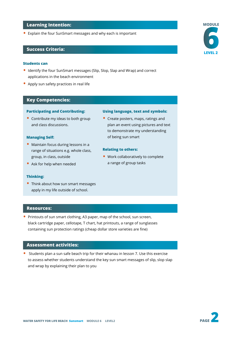#### **Learning Intention:**

• Explain the four SunSmart messages and why each is important

#### **Success Criteria:**

#### **Students can**

- Identify the four SunSmart messages (Slip, Slop, Slap and Wrap) and correct applications in the beach environment
- Apply sun safety practices in real life

#### **Key Competencies:**

#### **Participating and Contributing:**

• Contribute my ideas to both group and class discussions.

#### **Managing Self:**

- Maintain focus during lessons in a range of situations e.g. whole class, group, in class, outside
- Ask for help when needed

#### **Thinking:**

• Think about how sun smart messages apply in my life outside of school.

#### **Using language, text and symbols:**

• Create posters, maps, ratings and plan an event using pictures and text to demonstrate my understanding of being sun smart

#### **Relating to others:**

• Work collaboratively to complete a range of group tasks

- **Resources:**
- Printouts of sun smart clothing, A3 paper, map of the school, sun screen, black cartridge paper, cellotape, T chart, hat printouts, a range of sunglasses containing sun protection ratings (cheap dollar store varieties are fine)

#### **Assessment activities:**

• Students plan a sun safe beach trip for their whanau in lesson 7. Use this exercise to assess whether students understand the key sun smart messages of slip, slop slap and wrap by explaining their plan to you



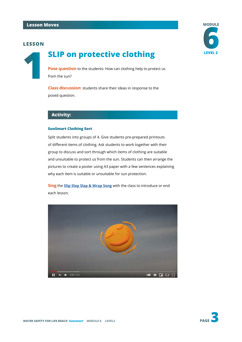

**Pose question** to the students: How can clothing help to protect us from the sun?

**Class discussion:** students share their ideas in response to the posed question.

#### **Activity:**

#### **SunSmart Clothing Sort**

Split students into groups of 4. Give students pre-prepared printouts of different items of clothing. Ask students to work together with their group to discuss and sort through which items of clothing are suitable and unsuitable to protect us from the sun. Students can then arrange the pictures to create a poster using A3 paper with a few sentences explaining why each item is suitable or unsuitable for sun protection.

**Sing** the **[Slip Slop Slap & Wrap Song](https://www.youtube.com/watch?v=GKPP8qqA7cY)** with the class to introduce or end each lesson.



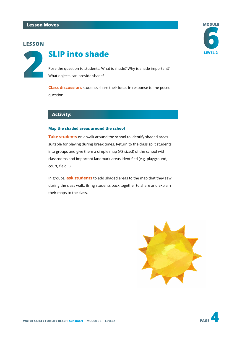

## **LEVEL 2 SLIP** into shade

Pose the question to students: What is shade? Why is shade important? What objects can provide shade?

**Class discussion:** students share their ideas in response to the posed question.

### **Activity:**

#### **Map the shaded areas around the school**

**Take students** on a walk around the school to identify shaded areas suitable for playing during break times. Return to the class split students into groups and give them a simple map (A3 sized) of the school with classrooms and important landmark areas identified (e.g. playground, court, field…).

In groups, **ask students** to add shaded areas to the map that they saw during the class walk. Bring students back together to share and explain their maps to the class.







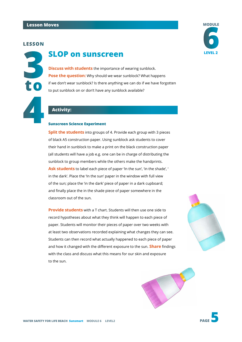

## **LEVEL 2 SLOP on sunscreen**

**Discuss with students** the importance of wearing sunblock. **Pose the question:** Why should we wear sunblock? What happens if we don't wear sunblock? Is there anything we can do if we have forgotten to put sunblock on or don't have any sunblock available?

#### **Activity:**

#### **Sunscreen Science Experiment**

**Split the students** into groups of 4. Provide each group with 3 pieces of black A5 construction paper. Using sunblock ask students to cover their hand in sunblock to make a print on the black construction paper (all students will have a job e.g. one can be in charge of distributing the sunblock to group members while the others make the handprints. Ask students to label each piece of paper 'In the sun', 'in the shade', ' in the dark'. Place the 'In the sun' paper in the window with full view of the sun; place the 'in the dark' piece of paper in a dark cupboard; and finally place the in the shade piece of paper somewhere in the classroom out of the sun.

**Provide students** with a T chart. Students will then use one side to record hypotheses about what they think will happen to each piece of paper. Students will monitor their pieces of paper over two weeks with at least two observations recorded explaining what changes they can see. Students can then record what actually happened to each piece of paper and how it changed with the different exposure to the sun. **Share** findings with the class and discuss what this means for our skin and exposure to the sun.





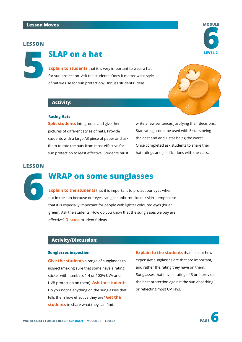

## **LEVEL 2 LEVEL 2**

**Explain to students** that it is very important to wear a hat for sun protection. Ask the students: Does it matter what style of hat we use for sun protection? Discuss students' ideas.

#### **Activity:**

#### **Rating Hats**

**Split students** into groups and give them pictures of different styles of hats. Provide students with a large A3 piece of paper and ask them to rate the hats from most effective for sun protection to least effective. Students must write a few sentences justifying their decisions. Star ratings could be used with 5 stars being the best and and 1 star being the worst. Once completed ask students to share their hat ratings and justifications with the class.

#### **LESSON**



## **WRAP on some sunglasses**

**Explain to the students** that it is important to protect our eyes when out in the sun because our eyes can get sunburnt like our skin – emphasise that it is especially important for people with lighter coloured eyes (blue/ green). Ask the students: How do you know that the sunglasses we buy are effective? **Discuss** students' ideas.

#### **Activity/Discussion:**

#### **Sunglasses inspection**

**Give the students** a range of sunglasses to inspect (making sure that some have a rating sticker with numbers 1-4 or 100% UVA and UVB protection on them). **Ask the students:** Do you notice anything on the sunglasses that tells them how effective they are? **Get the students** to share what they can find.

**Explain to the students** that it is not how expensive sunglasses are that are important, and rather the rating they have on them. Sunglasses that have a rating of 3 or 4 provide the best protection against the sun absorbing or reflecting most UV rays.